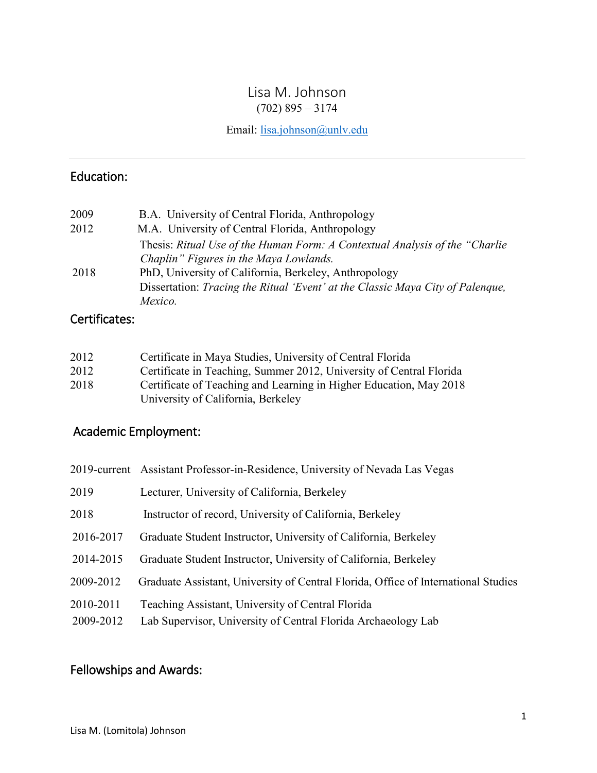## Lisa M. Johnson  $(702)$  895 – 3174

Email: [lisa.johnson@unlv.edu](mailto:lisa.johnson@unlv.edu)

# Education:

| 2009 | B.A. University of Central Florida, Anthropology                               |
|------|--------------------------------------------------------------------------------|
| 2012 | M.A. University of Central Florida, Anthropology                               |
|      | Thesis: Ritual Use of the Human Form: A Contextual Analysis of the "Charlie"   |
|      | Chaplin" Figures in the Maya Lowlands.                                         |
| 2018 | PhD, University of California, Berkeley, Anthropology                          |
|      | Dissertation: Tracing the Ritual 'Event' at the Classic Maya City of Palenque, |
|      | Mexico.                                                                        |

## Certificates:

| 2012 | Certificate in Maya Studies, University of Central Florida          |
|------|---------------------------------------------------------------------|
| 2012 | Certificate in Teaching, Summer 2012, University of Central Florida |
| 2018 | Certificate of Teaching and Learning in Higher Education, May 2018  |
|      | University of California, Berkeley                                  |

# Academic Employment:

|           | 2019-current Assistant Professor-in-Residence, University of Nevada Las Vegas      |
|-----------|------------------------------------------------------------------------------------|
| 2019      | Lecturer, University of California, Berkeley                                       |
| 2018      | Instructor of record, University of California, Berkeley                           |
| 2016-2017 | Graduate Student Instructor, University of California, Berkeley                    |
| 2014-2015 | Graduate Student Instructor, University of California, Berkeley                    |
| 2009-2012 | Graduate Assistant, University of Central Florida, Office of International Studies |
| 2010-2011 | Teaching Assistant, University of Central Florida                                  |
| 2009-2012 | Lab Supervisor, University of Central Florida Archaeology Lab                      |

## Fellowships and Awards: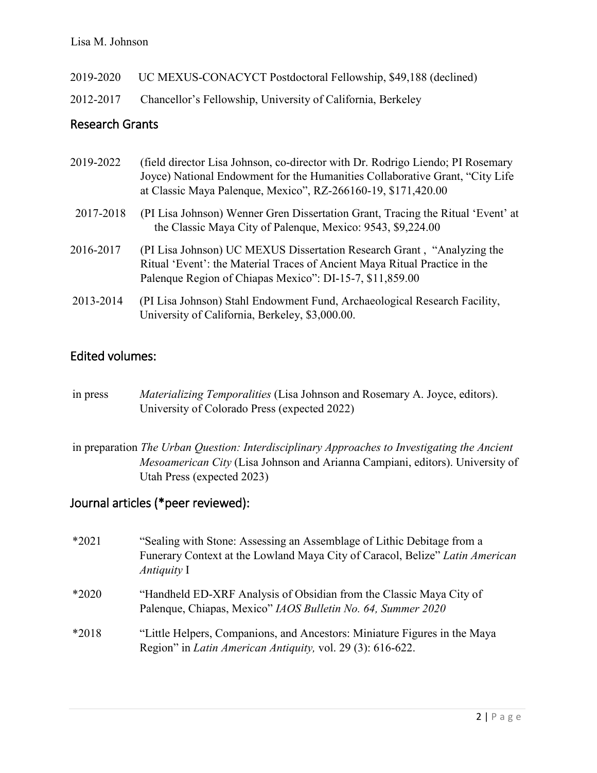#### Lisa M. Johnson

| 2019-2020 | UC MEXUS-CONACYCT Postdoctoral Fellowship, \$49,188 (declined) |
|-----------|----------------------------------------------------------------|
|-----------|----------------------------------------------------------------|

2012-2017 Chancellor's Fellowship, University of California, Berkeley

#### Research Grants

| 2019-2022 | (field director Lisa Johnson, co-director with Dr. Rodrigo Liendo; PI Rosemary<br>Joyce) National Endowment for the Humanities Collaborative Grant, "City Life<br>at Classic Maya Palenque, Mexico", RZ-266160-19, \$171,420.00 |
|-----------|---------------------------------------------------------------------------------------------------------------------------------------------------------------------------------------------------------------------------------|
| 2017-2018 | (PI Lisa Johnson) Wenner Gren Dissertation Grant, Tracing the Ritual 'Event' at<br>the Classic Maya City of Palenque, Mexico: 9543, \$9,224.00                                                                                  |
| 2016-2017 | (PI Lisa Johnson) UC MEXUS Dissertation Research Grant, "Analyzing the<br>Ritual 'Event': the Material Traces of Ancient Maya Ritual Practice in the<br>Palenque Region of Chiapas Mexico": DI-15-7, \$11,859.00                |
| 2013-2014 | (PI Lisa Johnson) Stahl Endowment Fund, Archaeological Research Facility,<br>University of California, Berkeley, \$3,000.00.                                                                                                    |

### Edited volumes:

- in press *Materializing Temporalities* (Lisa Johnson and Rosemary A. Joyce, editors). University of Colorado Press (expected 2022)
- in preparation *The Urban Question: Interdisciplinary Approaches to Investigating the Ancient Mesoamerican City* (Lisa Johnson and Arianna Campiani, editors). University of Utah Press (expected 2023)

#### Journal articles (\*peer reviewed):

\*2021 "Sealing with Stone: Assessing an Assemblage of Lithic Debitage from a Funerary Context at the Lowland Maya City of Caracol, Belize" *Latin American Antiquity* I \*2020 "Handheld ED-XRF Analysis of Obsidian from the Classic Maya City of Palenque, Chiapas, Mexico" *IAOS Bulletin No. 64, Summer 2020* \*2018 "Little Helpers, Companions, and Ancestors: Miniature Figures in the Maya Region" in *Latin American Antiquity,* vol. 29 (3): 616-622.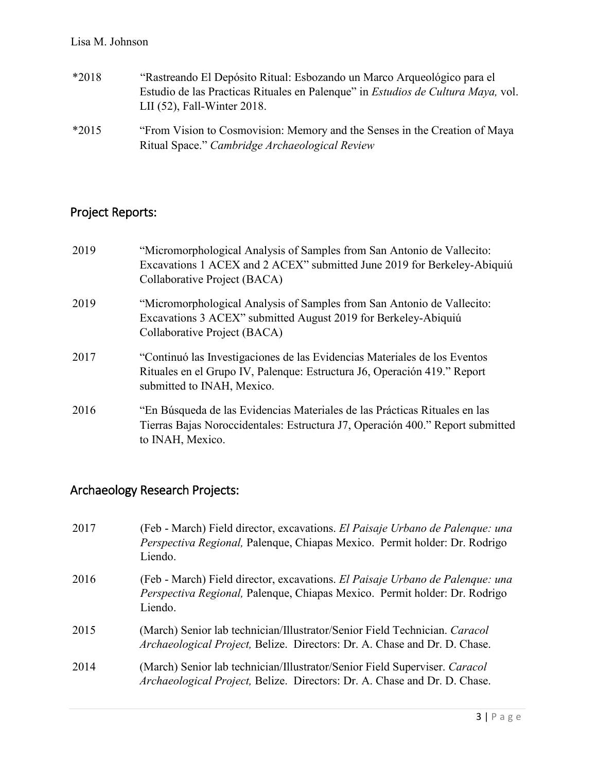#### Lisa M. Johnson

| $*2018$ | "Rastreando El Depósito Ritual: Esbozando un Marco Arqueológico para el<br>Estudio de las Practicas Rituales en Palenque" in <i>Estudios de Cultura Maya</i> , vol.<br>LII $(52)$ , Fall-Winter 2018. |
|---------|-------------------------------------------------------------------------------------------------------------------------------------------------------------------------------------------------------|
| $*2015$ | "From Vision to Cosmovision: Memory and the Senses in the Creation of Maya<br>Ritual Space." Cambridge Archaeological Review                                                                          |

# Project Reports:

| 2019 | "Micromorphological Analysis of Samples from San Antonio de Vallecito:<br>Excavations 1 ACEX and 2 ACEX" submitted June 2019 for Berkeley-Abiquiú<br>Collaborative Project (BACA)   |
|------|-------------------------------------------------------------------------------------------------------------------------------------------------------------------------------------|
| 2019 | "Micromorphological Analysis of Samples from San Antonio de Vallecito:<br>Excavations 3 ACEX" submitted August 2019 for Berkeley-Abiquiú<br>Collaborative Project (BACA)            |
| 2017 | "Continuó las Investigaciones de las Evidencias Materiales de los Eventos<br>Rituales en el Grupo IV, Palenque: Estructura J6, Operación 419." Report<br>submitted to INAH, Mexico. |
| 2016 | "En Búsqueda de las Evidencias Materiales de las Prácticas Rituales en las<br>Tierras Bajas Noroccidentales: Estructura J7, Operación 400." Report submitted<br>to INAH, Mexico.    |

# Archaeology Research Projects:

| 2017 | (Feb - March) Field director, excavations. El Paisaje Urbano de Palenque: una<br>Perspectiva Regional, Palenque, Chiapas Mexico. Permit holder: Dr. Rodrigo<br>Liendo. |
|------|------------------------------------------------------------------------------------------------------------------------------------------------------------------------|
| 2016 | (Feb - March) Field director, excavations. El Paisaje Urbano de Palenque: una<br>Perspectiva Regional, Palenque, Chiapas Mexico. Permit holder: Dr. Rodrigo<br>Liendo. |
| 2015 | (March) Senior lab technician/Illustrator/Senior Field Technician. Caracol<br><i>Archaeological Project</i> , Belize. Directors: Dr. A. Chase and Dr. D. Chase.        |
| 2014 | (March) Senior lab technician/Illustrator/Senior Field Superviser. Caracol<br>Archaeological Project, Belize. Directors: Dr. A. Chase and Dr. D. Chase.                |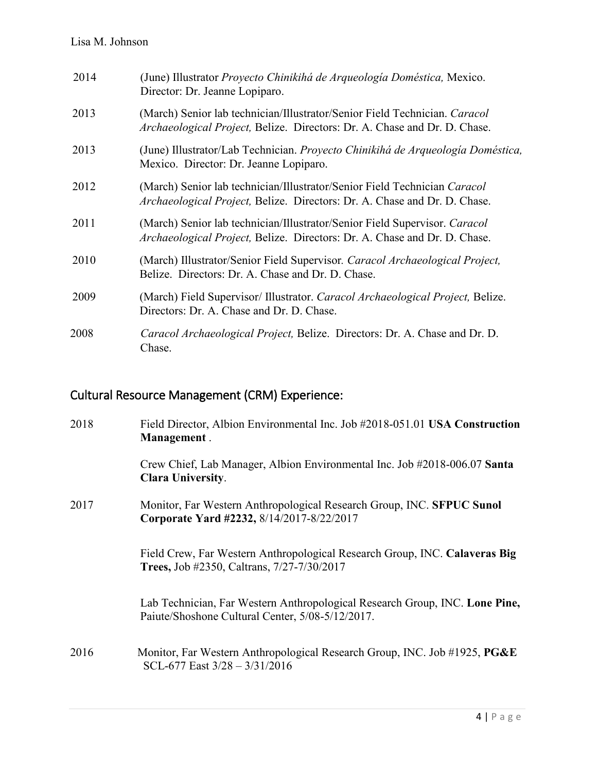| 2014 | (June) Illustrator Proyecto Chinikihá de Arqueología Doméstica, Mexico.<br>Director: Dr. Jeanne Lopiparo.                                               |
|------|---------------------------------------------------------------------------------------------------------------------------------------------------------|
| 2013 | (March) Senior lab technician/Illustrator/Senior Field Technician. Caracol<br>Archaeological Project, Belize. Directors: Dr. A. Chase and Dr. D. Chase. |
| 2013 | (June) Illustrator/Lab Technician. Proyecto Chinikihá de Arqueología Doméstica,<br>Mexico. Director: Dr. Jeanne Lopiparo.                               |
| 2012 | (March) Senior lab technician/Illustrator/Senior Field Technician Caracol<br>Archaeological Project, Belize. Directors: Dr. A. Chase and Dr. D. Chase.  |
| 2011 | (March) Senior lab technician/Illustrator/Senior Field Supervisor. Caracol<br>Archaeological Project, Belize. Directors: Dr. A. Chase and Dr. D. Chase. |
| 2010 | (March) Illustrator/Senior Field Supervisor. Caracol Archaeological Project,<br>Belize. Directors: Dr. A. Chase and Dr. D. Chase.                       |
| 2009 | (March) Field Supervisor/ Illustrator. Caracol Archaeological Project, Belize.<br>Directors: Dr. A. Chase and Dr. D. Chase.                             |
| 2008 | Caracol Archaeological Project, Belize. Directors: Dr. A. Chase and Dr. D.<br>Chase.                                                                    |

# Cultural Resource Management (CRM) Experience:

| 2018 | Field Director, Albion Environmental Inc. Job #2018-051.01 USA Construction<br>Management.                                      |
|------|---------------------------------------------------------------------------------------------------------------------------------|
|      | Crew Chief, Lab Manager, Albion Environmental Inc. Job #2018-006.07 Santa<br><b>Clara University.</b>                           |
| 2017 | Monitor, Far Western Anthropological Research Group, INC. SFPUC Sunol<br>Corporate Yard #2232, 8/14/2017-8/22/2017              |
|      | Field Crew, Far Western Anthropological Research Group, INC. Calaveras Big<br><b>Trees, Job #2350, Caltrans, 7/27-7/30/2017</b> |
|      | Lab Technician, Far Western Anthropological Research Group, INC. Lone Pine,<br>Paiute/Shoshone Cultural Center, 5/08-5/12/2017. |
| 2016 | Monitor, Far Western Anthropological Research Group, INC. Job #1925, PG&E<br>SCL-677 East $3/28 - 3/31/2016$                    |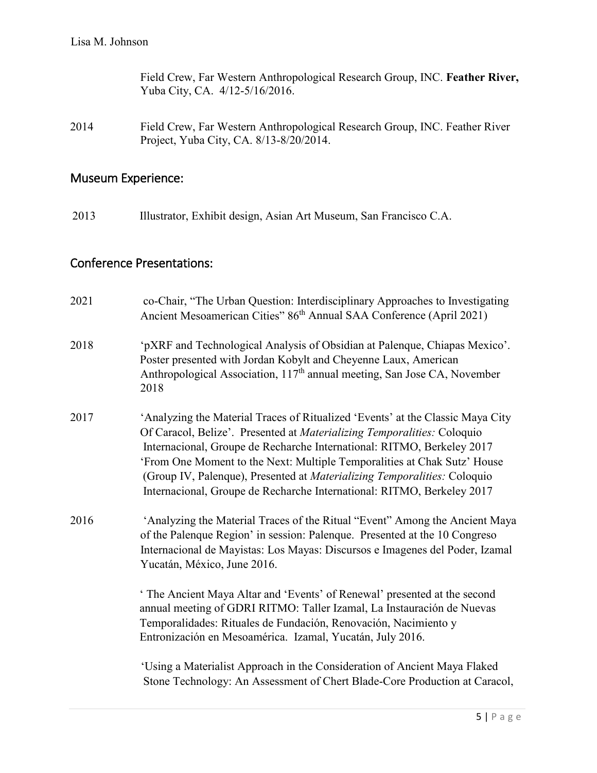Field Crew, Far Western Anthropological Research Group, INC. **Feather River,** Yuba City, CA. 4/12-5/16/2016.

2014 Field Crew, Far Western Anthropological Research Group, INC. Feather River Project, Yuba City, CA. 8/13-8/20/2014.

## Museum Experience:

2013 Illustrator, Exhibit design, Asian Art Museum, San Francisco C.A.

## Conference Presentations:

| 2021 | co-Chair, "The Urban Question: Interdisciplinary Approaches to Investigating<br>Ancient Mesoamerican Cities" 86 <sup>th</sup> Annual SAA Conference (April 2021)                                                                                                                                                                                                                                                                                                      |
|------|-----------------------------------------------------------------------------------------------------------------------------------------------------------------------------------------------------------------------------------------------------------------------------------------------------------------------------------------------------------------------------------------------------------------------------------------------------------------------|
| 2018 | 'pXRF and Technological Analysis of Obsidian at Palenque, Chiapas Mexico'.<br>Poster presented with Jordan Kobylt and Cheyenne Laux, American<br>Anthropological Association, 117 <sup>th</sup> annual meeting, San Jose CA, November<br>2018                                                                                                                                                                                                                         |
| 2017 | 'Analyzing the Material Traces of Ritualized 'Events' at the Classic Maya City<br>Of Caracol, Belize'. Presented at Materializing Temporalities: Coloquio<br>Internacional, Groupe de Recharche International: RITMO, Berkeley 2017<br>'From One Moment to the Next: Multiple Temporalities at Chak Sutz' House<br>(Group IV, Palenque), Presented at Materializing Temporalities: Coloquio<br>Internacional, Groupe de Recharche International: RITMO, Berkeley 2017 |
| 2016 | 'Analyzing the Material Traces of the Ritual "Event" Among the Ancient Maya<br>of the Palenque Region' in session: Palenque. Presented at the 10 Congreso<br>Internacional de Mayistas: Los Mayas: Discursos e Imagenes del Poder, Izamal<br>Yucatán, México, June 2016.<br>' The Ancient Maya Altar and 'Events' of Renewal' presented at the second<br>annual meeting of GDRI RITMO: Taller Izamal, La Instauración de Nuevas                                       |
|      | Temporalidades: Rituales de Fundación, Renovación, Nacimiento y<br>Entronización en Mesoamérica. Izamal, Yucatán, July 2016.                                                                                                                                                                                                                                                                                                                                          |
|      | 'Using a Materialist Approach in the Consideration of Ancient Maya Flaked<br>Stone Technology: An Assessment of Chert Blade-Core Production at Caracol,                                                                                                                                                                                                                                                                                                               |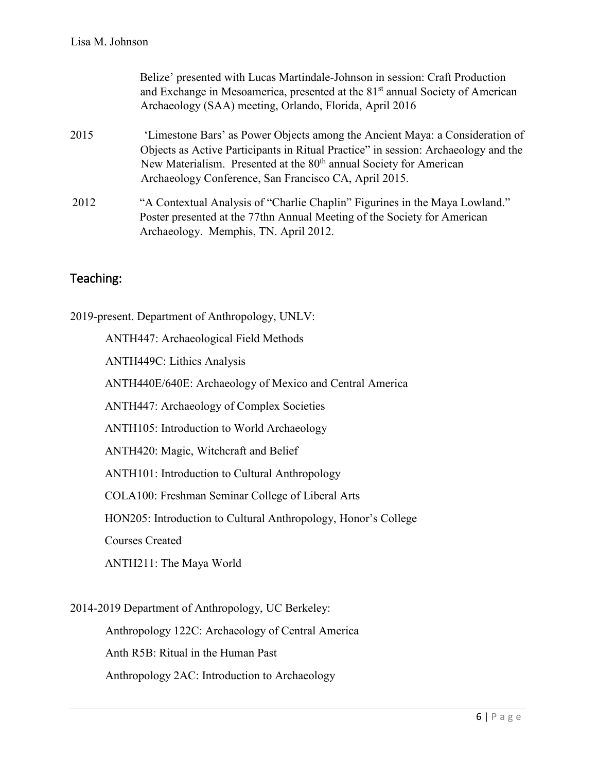|      | Belize' presented with Lucas Martindale-Johnson in session: Craft Production<br>and Exchange in Mesoamerica, presented at the 81 <sup>st</sup> annual Society of American<br>Archaeology (SAA) meeting, Orlando, Florida, April 2016                                                                          |
|------|---------------------------------------------------------------------------------------------------------------------------------------------------------------------------------------------------------------------------------------------------------------------------------------------------------------|
| 2015 | 'Limestone Bars' as Power Objects among the Ancient Maya: a Consideration of<br>Objects as Active Participants in Ritual Practice" in session: Archaeology and the<br>New Materialism. Presented at the 80 <sup>th</sup> annual Society for American<br>Archaeology Conference, San Francisco CA, April 2015. |
| 2012 | "A Contextual Analysis of "Charlie Chaplin" Figurines in the Maya Lowland."<br>Poster presented at the 77thn Annual Meeting of the Society for American<br>Archaeology. Memphis, TN. April 2012.                                                                                                              |

### Teaching:

2019-present. Department of Anthropology, UNLV: ANTH447: Archaeological Field Methods ANTH449C: Lithics Analysis ANTH440E/640E: Archaeology of Mexico and Central America ANTH447: Archaeology of Complex Societies ANTH105: Introduction to World Archaeology ANTH420: Magic, Witchcraft and Belief ANTH101: Introduction to Cultural Anthropology COLA100: Freshman Seminar College of Liberal Arts HON205: Introduction to Cultural Anthropology, Honor's College Courses Created ANTH211: The Maya World 2014-2019 Department of Anthropology, UC Berkeley:

Anthropology 122C: Archaeology of Central America Anth R5B: Ritual in the Human Past Anthropology 2AC: Introduction to Archaeology